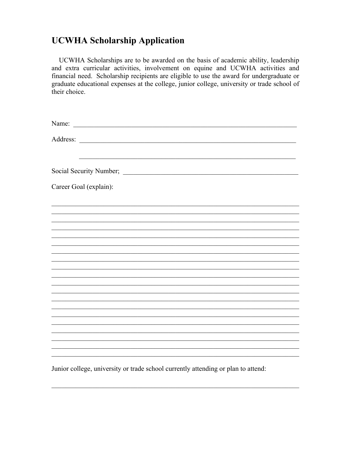#### **UCWHA Scholarship Application**

UCWHA Scholarships are to be awarded on the basis of academic ability, leadership and extra curricular activities, involvement on equine and UCWHA activities and financial need. Scholarship recipients are eligible to use the award for undergraduate or graduate educational expenses at the college, junior college, university or trade school of their choice.

| Career Goal (explain): |
|------------------------|
|                        |
|                        |
|                        |
|                        |
|                        |
|                        |
|                        |
|                        |
|                        |
|                        |
|                        |
|                        |

Junior college, university or trade school currently attending or plan to attend: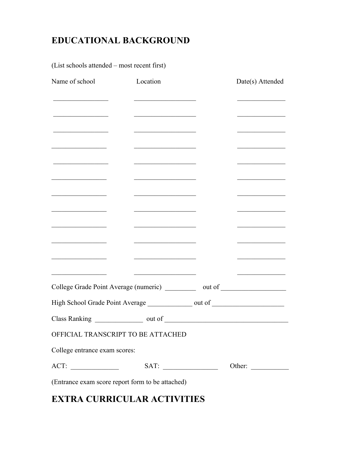# **EDUCATIONAL BACKGROUND**

(List schools attended – most recent first)

| Name of school                                                                                                        | Location                                                                                                              | Date(s) Attended                             |
|-----------------------------------------------------------------------------------------------------------------------|-----------------------------------------------------------------------------------------------------------------------|----------------------------------------------|
|                                                                                                                       | <u> 1989 - Johann John Stone, mensk politik (</u>                                                                     |                                              |
|                                                                                                                       | <u> 1989 - Johann Barbara, martxa a</u>                                                                               | <u> 1980 - Johann Barbara, martin a</u>      |
|                                                                                                                       | <u> 1989 - Johann John Stone, markin sanadi</u>                                                                       |                                              |
| <u> 1989 - Johann Harrison, mars eta bainar e</u>                                                                     | <u> 1989 - Johann Harry Harry Harry Harry Harry Harry Harry Harry Harry Harry Harry Harry Harry Harry Harry Harry</u> | the control of the control of the control of |
| <u> 1989 - Johann Barbara, martxa al</u>                                                                              | <u> 1989 - Johann Barbara, martxa alemani</u> ar a                                                                    | <u> 1980 - Johann Barbara, martin a</u>      |
|                                                                                                                       | <u> 1980 - Johann John Stone, mars eta bainar eta industrial eta industrial eta industrial eta industrial eta in</u>  |                                              |
| <u> 1989 - Johann Barn, mars ann an t-A</u>                                                                           | <u> 1989 - Johann Barnett, fransk politiker (</u>                                                                     | <u> 1989 - Johann Barbara, martin a</u>      |
| <u> 1989 - Johann John Stone, mensk politik (</u>                                                                     | <u> 1989 - Johann Barbara, martxa alemani</u> ar a                                                                    |                                              |
| the control of the control of the control of                                                                          | the control of the control of the control of the                                                                      |                                              |
| <u> 1989 - Johann Barn, mars ann an t-Amhain an t-Amhain an t-Amhain an t-Amhain an t-Amhain an t-Amhain an t-Amh</u> | <u> 1990 - Johann Barbara, martxa alemani</u> ar a                                                                    | <u> 1989 - Johann Barbara, martxa a</u>      |
|                                                                                                                       | <u> 1989 - Johann Stein, markt fan it ferstjer fan it ferstjer fan it ferstjer fan it ferstjer fan it ferstjer f</u>  |                                              |
|                                                                                                                       | <u> 1989 - Johann Barn, mars ann an t-Amhair an t-A</u>                                                               | the control of the control of the control of |
| College Grade Point Average (numeric) ___________ out of _______________________                                      |                                                                                                                       |                                              |
| High School Grade Point Average _______________ out of _________________________                                      |                                                                                                                       |                                              |
|                                                                                                                       |                                                                                                                       |                                              |
| OFFICIAL TRANSCRIPT TO BE ATTACHED                                                                                    |                                                                                                                       |                                              |
| College entrance exam scores:                                                                                         |                                                                                                                       |                                              |
|                                                                                                                       |                                                                                                                       | Other:                                       |
| (Entrance exam score report form to be attached)                                                                      |                                                                                                                       |                                              |

## **EXTRA CURRICULAR ACTIVITIES**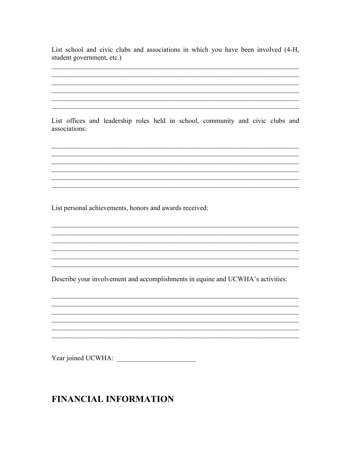List school and civic clubs and associations in which you have been involved (4-H, student government, etc.)

List offices and leadership roles held in school, community and civic clubs and associations:

List personal achievements, honors and awards received:

Describe your involvement and accomplishments in equine and UCWHA's activities:

<u> 1989 - Jan James James Barnett, martin de filosofoar (h. 1989).</u>

Year joined UCWHA:

### **FINANCIAL INFORMATION**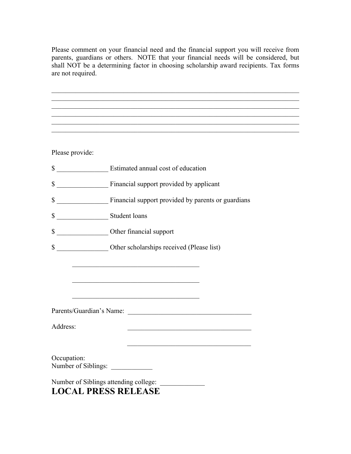Please comment on your financial need and the financial support you will receive from parents, guardians or others. NOTE that your financial needs will be considered, but shall NOT be a determining factor in choosing scholarship award recipients. Tax forms are not required.

| Please provide: |                                                                                                                               |
|-----------------|-------------------------------------------------------------------------------------------------------------------------------|
|                 | \$                                                                                                                            |
|                 |                                                                                                                               |
|                 | \$ Financial support provided by parents or guardians                                                                         |
| \$              | Student loans                                                                                                                 |
| \$              | Other financial support                                                                                                       |
| \$              | Other scholarships received (Please list)                                                                                     |
|                 | <u> 1989 - Johann John Stone, mars et al. 1989 - John Stone, mars et al. 1989 - John Stone, mars et al. 1989 - John Stone</u> |
|                 |                                                                                                                               |
|                 | <u> 1989 - Johann John Harry, mars and deutscher Schwarzer († 1989)</u>                                                       |
|                 |                                                                                                                               |
| Address:        | <u> 1989 - Johann Barbara, martxa alemaniar arg</u>                                                                           |
|                 |                                                                                                                               |
| Occupation:     | Number of Siblings:                                                                                                           |
|                 | Number of Siblings attending college:                                                                                         |
|                 | <b>LOCAL PRESS RELEASE</b>                                                                                                    |